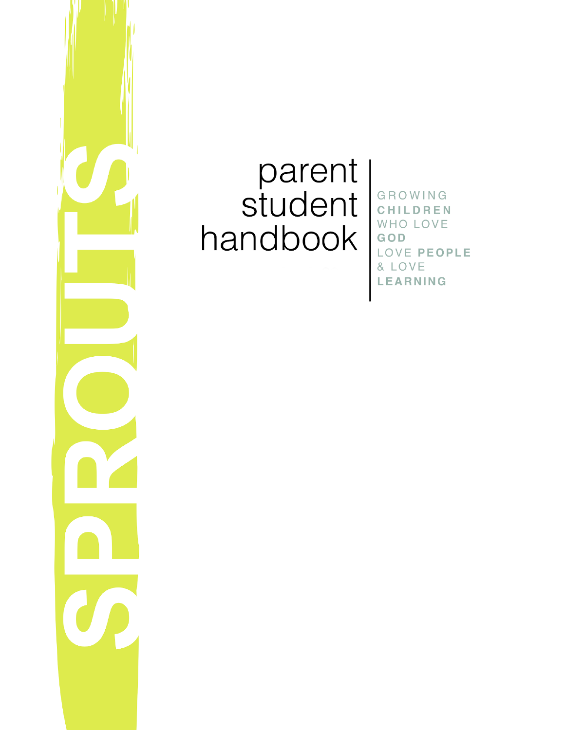

# parent<br>student handbook

GROWING CHILDREN WHO LOVE GOD LOVE PEOPLE & LOVE **LEARNING**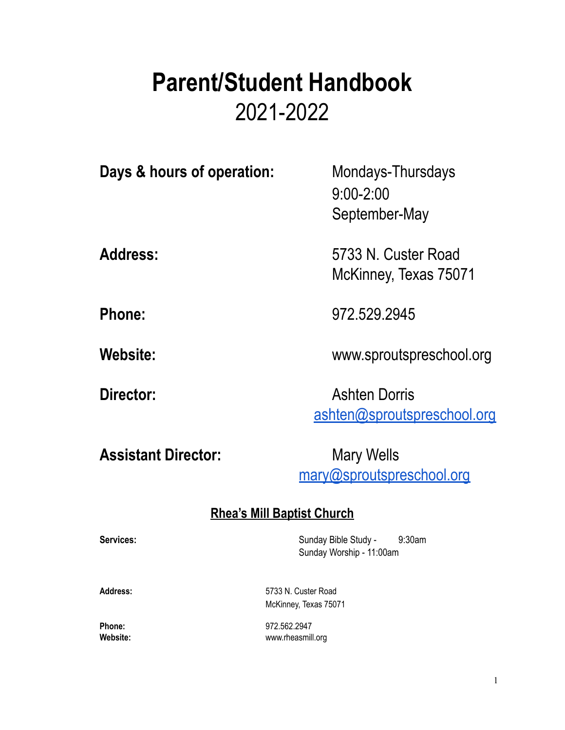# **Parent/Student Handbook** 2021-2022

**Days & hours of operation:** Mondays-Thursdays 9:00-2:00 September-May **Address:** 5733 N. Custer Road McKinney, Texas 75071 **Phone:** 972.529.2945 **Website:** www.sproutspreschool.org

**Director:** Ashten Dorris [ashten@sproutspreschool.org](mailto:ashten@sproutspreschool.org)

# Assistant Director: Mary Wells

[mary@sproutspreschool.org](mailto:mary@sproutspreschool.org)

# **Rhea's Mill Baptist Church**

Services: Services: Sunday Bible Study - 9:30am Sunday Worship - 11:00am

**Address:** 5733 N. Custer Road McKinney, Texas 75071

**Phone:** 972.562.2947 **Website:** www.rheasmill.org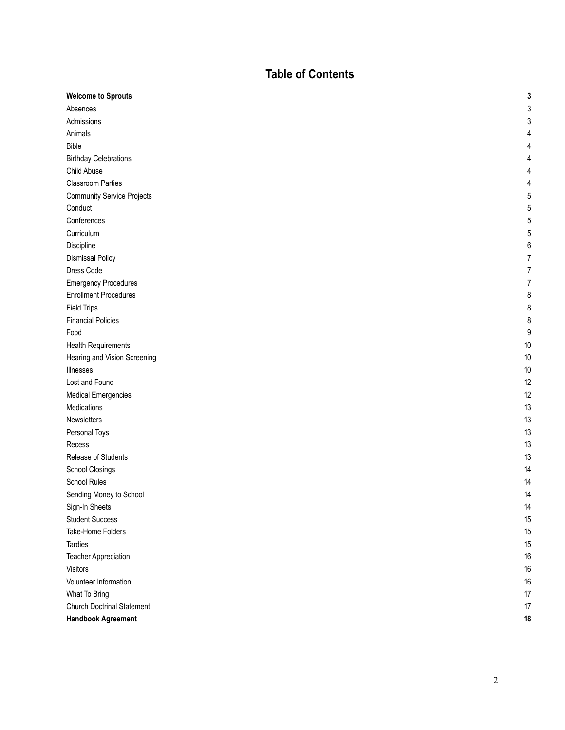#### Table of Contents

| <b>Welcome to Sprouts</b>         | 3    |
|-----------------------------------|------|
| Absences                          | 3    |
| Admissions                        | 3    |
| Animals                           | 4    |
| <b>Bible</b>                      | 4    |
| <b>Birthday Celebrations</b>      | 4    |
| Child Abuse                       | 4    |
| <b>Classroom Parties</b>          | 4    |
| <b>Community Service Projects</b> | 5    |
| Conduct                           | 5    |
| Conferences                       | 5    |
| Curriculum                        | 5    |
| Discipline                        | 6    |
| <b>Dismissal Policy</b>           | 7    |
| Dress Code                        | 7    |
| <b>Emergency Procedures</b>       | 7    |
| <b>Enrollment Procedures</b>      | 8    |
| <b>Field Trips</b>                | 8    |
| <b>Financial Policies</b>         | 8    |
| Food                              | 9    |
| <b>Health Requirements</b>        | $10$ |
| Hearing and Vision Screening      | $10$ |
| Illnesses                         | $10$ |
| Lost and Found                    | 12   |
| <b>Medical Emergencies</b>        | 12   |
| Medications                       | 13   |
| Newsletters                       | 13   |
| Personal Toys                     | 13   |
| Recess                            | 13   |
| Release of Students               | 13   |
| School Closings                   | 14   |
| School Rules                      | 14   |
| Sending Money to School           | 14   |
| Sign-In Sheets                    | 14   |
| <b>Student Success</b>            | 15   |
| Take-Home Folders                 | 15   |
| Tardies                           | 15   |
| Teacher Appreciation              | 16   |
| Visitors                          | 16   |
| Volunteer Information             | 16   |
| What To Bring                     | 17   |
| <b>Church Doctrinal Statement</b> | 17   |
| <b>Handbook Agreement</b>         | 18   |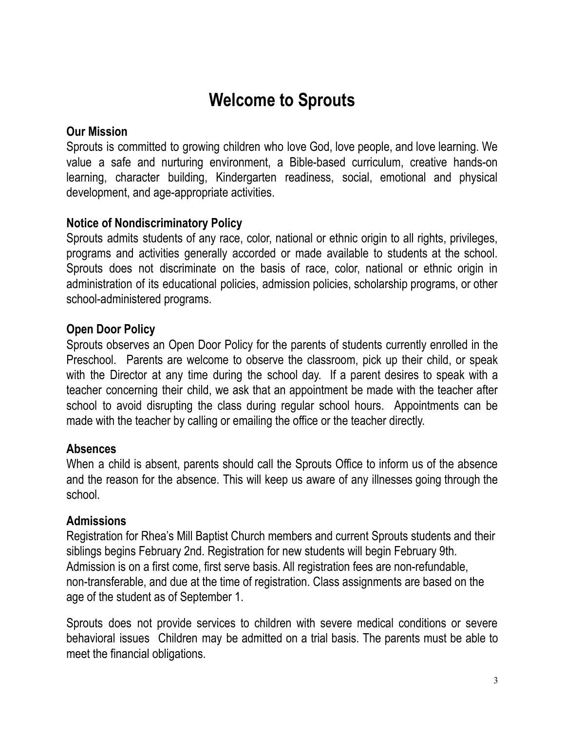# **Welcome to Sprouts**

#### **Our Mission**

Sprouts is committed to growing children who love God, love people, and love learning. We value a safe and nurturing environment, a Bible-based curriculum, creative hands-on learning, character building, Kindergarten readiness, social, emotional and physical development, and age-appropriate activities.

# **Notice of Nondiscriminatory Policy**

Sprouts admits students of any race, color, national or ethnic origin to all rights, privileges, programs and activities generally accorded or made available to students at the school. Sprouts does not discriminate on the basis of race, color, national or ethnic origin in administration of its educational policies, admission policies, scholarship programs, or other school-administered programs.

# **Open Door Policy**

Sprouts observes an Open Door Policy for the parents of students currently enrolled in the Preschool. Parents are welcome to observe the classroom, pick up their child, or speak with the Director at any time during the school day. If a parent desires to speak with a teacher concerning their child, we ask that an appointment be made with the teacher after school to avoid disrupting the class during regular school hours. Appointments can be made with the teacher by calling or emailing the office or the teacher directly.

#### **Absences**

When a child is absent, parents should call the Sprouts Office to inform us of the absence and the reason for the absence. This will keep us aware of any illnesses going through the school.

#### **Admissions**

Registration for Rhea's Mill Baptist Church members and current Sprouts students and their siblings begins February 2nd. Registration for new students will begin February 9th. Admission is on a first come, first serve basis. All registration fees are non-refundable, non-transferable, and due at the time of registration. Class assignments are based on the age of the student as of September 1.

Sprouts does not provide services to children with severe medical conditions or severe behavioral issues Children may be admitted on a trial basis. The parents must be able to meet the financial obligations.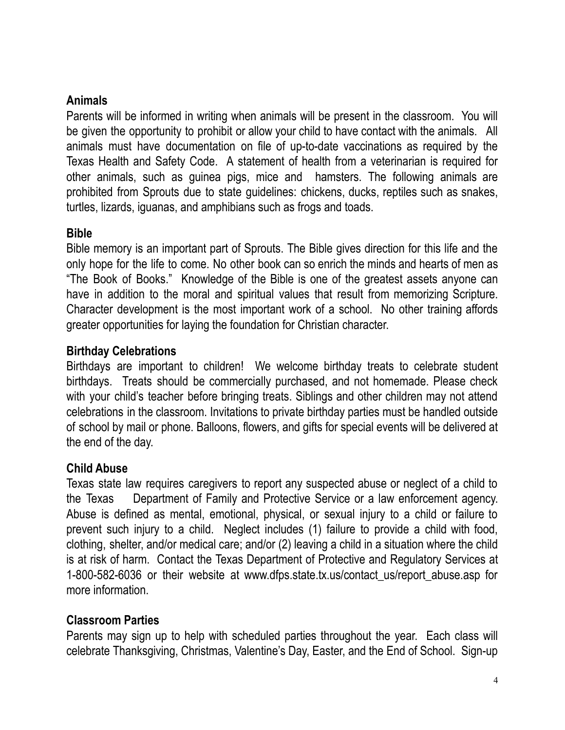# **Animals**

Parents will be informed in writing when animals will be present in the classroom. You will be given the opportunity to prohibit or allow your child to have contact with the animals. All animals must have documentation on file of up-to-date vaccinations as required by the Texas Health and Safety Code. A statement of health from a veterinarian is required for other animals, such as guinea pigs, mice and hamsters. The following animals are prohibited from Sprouts due to state guidelines: chickens, ducks, reptiles such as snakes, turtles, lizards, iguanas, and amphibians such as frogs and toads.

#### **Bible**

Bible memory is an important part of Sprouts. The Bible gives direction for this life and the only hope for the life to come. No other book can so enrich the minds and hearts of men as "The Book of Books." Knowledge of the Bible is one of the greatest assets anyone can have in addition to the moral and spiritual values that result from memorizing Scripture. Character development is the most important work of a school. No other training affords greater opportunities for laying the foundation for Christian character.

#### **Birthday Celebrations**

Birthdays are important to children! We welcome birthday treats to celebrate student birthdays. Treats should be commercially purchased, and not homemade. Please check with your child's teacher before bringing treats. Siblings and other children may not attend celebrations in the classroom. Invitations to private birthday parties must be handled outside of school by mail or phone. Balloons, flowers, and gifts for special events will be delivered at the end of the day.

# **Child Abuse**

Texas state law requires caregivers to report any suspected abuse or neglect of a child to the Texas Department of Family and Protective Service or a law enforcement agency. Abuse is defined as mental, emotional, physical, or sexual injury to a child or failure to prevent such injury to a child. Neglect includes (1) failure to provide a child with food, clothing, shelter, and/or medical care; and/or (2) leaving a child in a situation where the child is at risk of harm. Contact the Texas Department of Protective and Regulatory Services at 1-800-582-6036 or their website at www.dfps.state.tx.us/contact\_us/report\_abuse.asp for more information.

# **Classroom Parties**

Parents may sign up to help with scheduled parties throughout the year. Each class will celebrate Thanksgiving, Christmas, Valentine's Day, Easter, and the End of School. Sign-up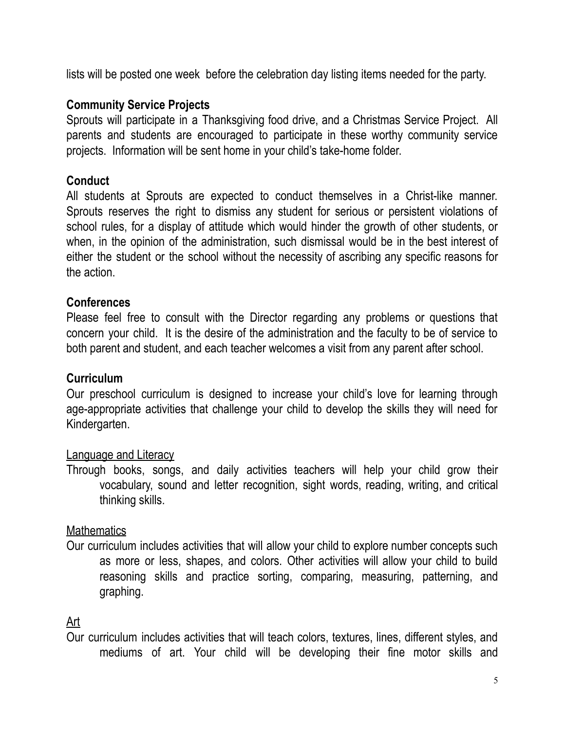lists will be posted one week before the celebration day listing items needed for the party.

# **Community Service Projects**

Sprouts will participate in a Thanksgiving food drive, and a Christmas Service Project. All parents and students are encouraged to participate in these worthy community service projects. Information will be sent home in your child's take-home folder.

# **Conduct**

All students at Sprouts are expected to conduct themselves in a Christ-like manner. Sprouts reserves the right to dismiss any student for serious or persistent violations of school rules, for a display of attitude which would hinder the growth of other students, or when, in the opinion of the administration, such dismissal would be in the best interest of either the student or the school without the necessity of ascribing any specific reasons for the action.

#### **Conferences**

Please feel free to consult with the Director regarding any problems or questions that concern your child. It is the desire of the administration and the faculty to be of service to both parent and student, and each teacher welcomes a visit from any parent after school.

# **Curriculum**

Our preschool curriculum is designed to increase your child's love for learning through age-appropriate activities that challenge your child to develop the skills they will need for Kindergarten.

# Language and Literacy

Through books, songs, and daily activities teachers will help your child grow their vocabulary, sound and letter recognition, sight words, reading, writing, and critical thinking skills.

# **Mathematics**

Our curriculum includes activities that will allow your child to explore number concepts such as more or less, shapes, and colors. Other activities will allow your child to build reasoning skills and practice sorting, comparing, measuring, patterning, and graphing.

# Art

Our curriculum includes activities that will teach colors, textures, lines, different styles, and mediums of art. Your child will be developing their fine motor skills and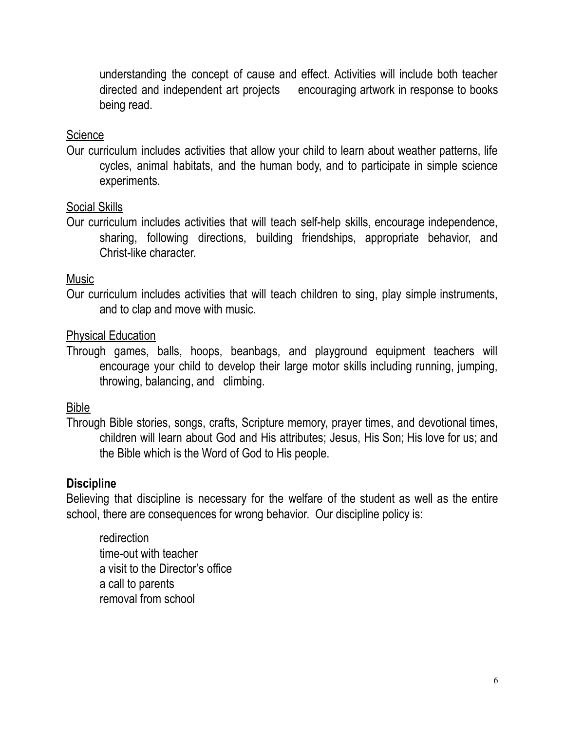understanding the concept of cause and effect. Activities will include both teacher directed and independent art projects encouraging artwork in response to books being read.

#### **Science**

Our curriculum includes activities that allow your child to learn about weather patterns, life cycles, animal habitats, and the human body, and to participate in simple science experiments.

#### Social Skills

Our curriculum includes activities that will teach self-help skills, encourage independence, sharing, following directions, building friendships, appropriate behavior, and Christ-like character.

#### Music

Our curriculum includes activities that will teach children to sing, play simple instruments, and to clap and move with music.

#### Physical Education

Through games, balls, hoops, beanbags, and playground equipment teachers will encourage your child to develop their large motor skills including running, jumping, throwing, balancing, and climbing.

#### Bible

Through Bible stories, songs, crafts, Scripture memory, prayer times, and devotional times, children will learn about God and His attributes; Jesus, His Son; His love for us; and the Bible which is the Word of God to His people.

#### **Discipline**

Believing that discipline is necessary for the welfare of the student as well as the entire school, there are consequences for wrong behavior. Our discipline policy is:

redirection time-out with teacher a visit to the Director's office a call to parents removal from school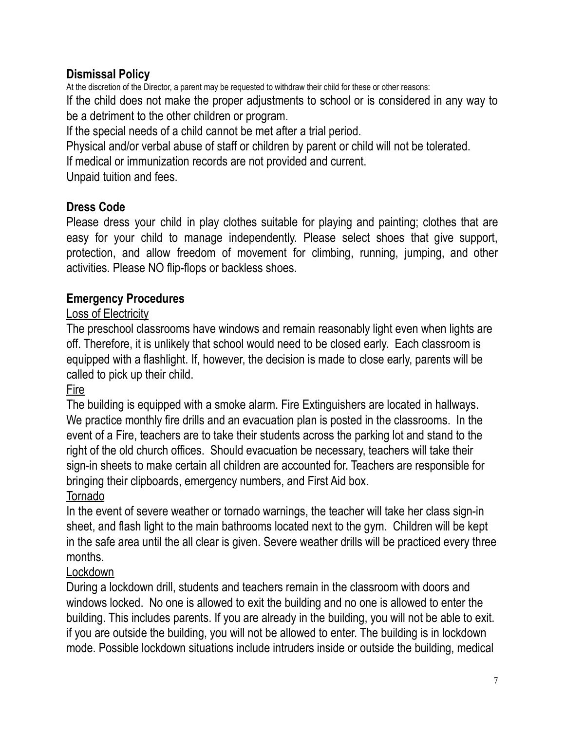# **Dismissal Policy**

At the discretion of the Director, a parent may be requested to withdraw their child for these or other reasons: If the child does not make the proper adjustments to school or is considered in any way to be a detriment to the other children or program.

If the special needs of a child cannot be met after a trial period.

Physical and/or verbal abuse of staff or children by parent or child will not be tolerated.

If medical or immunization records are not provided and current.

Unpaid tuition and fees.

# **Dress Code**

Please dress your child in play clothes suitable for playing and painting; clothes that are easy for your child to manage independently. Please select shoes that give support, protection, and allow freedom of movement for climbing, running, jumping, and other activities. Please NO flip-flops or backless shoes.

# **Emergency Procedures**

# Loss of Electricity

The preschool classrooms have windows and remain reasonably light even when lights are off. Therefore, it is unlikely that school would need to be closed early. Each classroom is equipped with a flashlight. If, however, the decision is made to close early, parents will be called to pick up their child.

# **Fire**

The building is equipped with a smoke alarm. Fire Extinguishers are located in hallways. We practice monthly fire drills and an evacuation plan is posted in the classrooms. In the event of a Fire, teachers are to take their students across the parking lot and stand to the right of the old church offices. Should evacuation be necessary, teachers will take their sign-in sheets to make certain all children are accounted for. Teachers are responsible for bringing their clipboards, emergency numbers, and First Aid box.

# Tornado

In the event of severe weather or tornado warnings, the teacher will take her class sign-in sheet, and flash light to the main bathrooms located next to the gym. Children will be kept in the safe area until the all clear is given. Severe weather drills will be practiced every three months.

# Lockdown

During a lockdown drill, students and teachers remain in the classroom with doors and windows locked. No one is allowed to exit the building and no one is allowed to enter the building. This includes parents. If you are already in the building, you will not be able to exit. if you are outside the building, you will not be allowed to enter. The building is in lockdown mode. Possible lockdown situations include intruders inside or outside the building, medical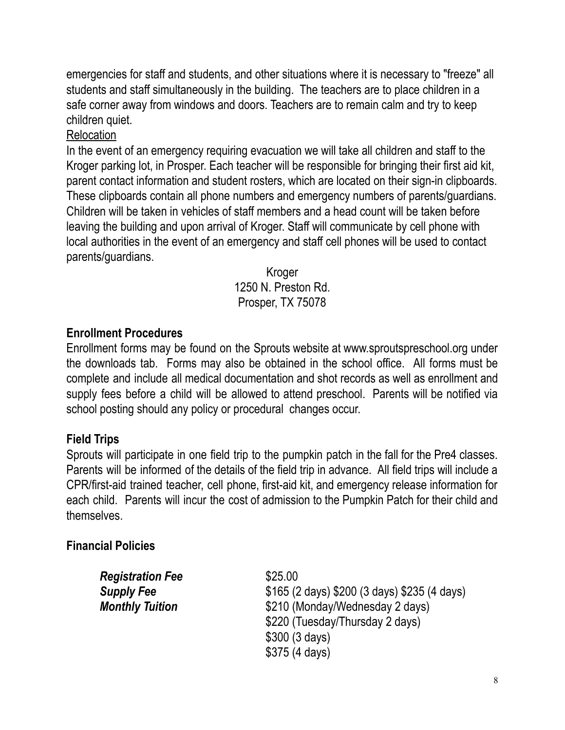emergencies for staff and students, and other situations where it is necessary to "freeze" all students and staff simultaneously in the building. The teachers are to place children in a safe corner away from windows and doors. Teachers are to remain calm and try to keep children quiet.

#### Relocation

In the event of an emergency requiring evacuation we will take all children and staff to the Kroger parking lot, in Prosper. Each teacher will be responsible for bringing their first aid kit, parent contact information and student rosters, which are located on their sign-in clipboards. These clipboards contain all phone numbers and emergency numbers of parents/guardians. Children will be taken in vehicles of staff members and a head count will be taken before leaving the building and upon arrival of Kroger. Staff will communicate by cell phone with local authorities in the event of an emergency and staff cell phones will be used to contact parents/guardians.

> Kroger 1250 N. Preston Rd. Prosper, TX 75078

#### **Enrollment Procedures**

Enrollment forms may be found on the Sprouts website at www.sproutspreschool.org under the downloads tab. Forms may also be obtained in the school office. All forms must be complete and include all medical documentation and shot records as well as enrollment and supply fees before a child will be allowed to attend preschool. Parents will be notified via school posting should any policy or procedural changes occur.

#### **Field Trips**

Sprouts will participate in one field trip to the pumpkin patch in the fall for the Pre4 classes. Parents will be informed of the details of the field trip in advance. All field trips will include a CPR/first-aid trained teacher, cell phone, first-aid kit, and emergency release information for each child. Parents will incur the cost of admission to the Pumpkin Patch for their child and themselves.

#### **Financial Policies**

| <b>Registration Fee</b> | \$25.00                                      |
|-------------------------|----------------------------------------------|
| <b>Supply Fee</b>       | \$165 (2 days) \$200 (3 days) \$235 (4 days) |
| <b>Monthly Tuition</b>  | \$210 (Monday/Wednesday 2 days)              |
|                         | \$220 (Tuesday/Thursday 2 days)              |
|                         | \$300 (3 days)                               |
|                         | \$375(4 days)                                |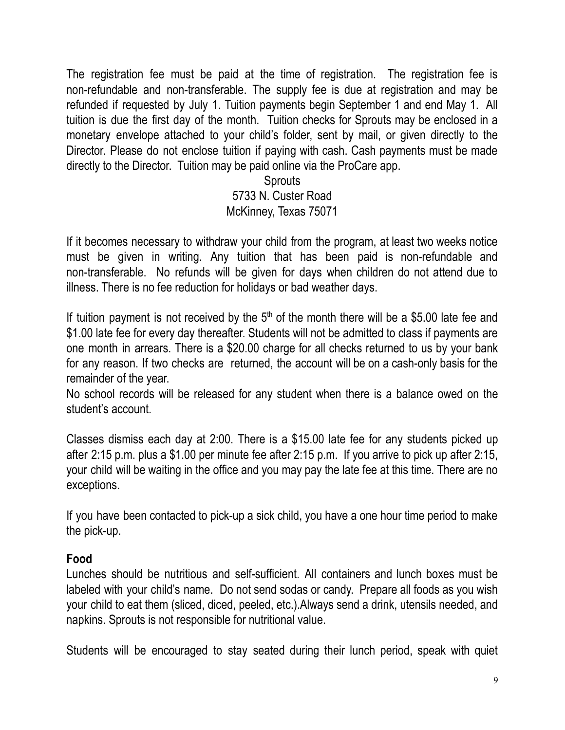The registration fee must be paid at the time of registration. The registration fee is non-refundable and non-transferable. The supply fee is due at registration and may be refunded if requested by July 1. Tuition payments begin September 1 and end May 1. All tuition is due the first day of the month. Tuition checks for Sprouts may be enclosed in a monetary envelope attached to your child's folder, sent by mail, or given directly to the Director. Please do not enclose tuition if paying with cash. Cash payments must be made directly to the Director. Tuition may be paid online via the ProCare app.

> **Sprouts** 5733 N. Custer Road McKinney, Texas 75071

If it becomes necessary to withdraw your child from the program, at least two weeks notice must be given in writing. Any tuition that has been paid is non-refundable and non-transferable. No refunds will be given for days when children do not attend due to illness. There is no fee reduction for holidays or bad weather days.

If tuition payment is not received by the  $5<sup>th</sup>$  of the month there will be a \$5.00 late fee and \$1.00 late fee for every day thereafter. Students will not be admitted to class if payments are one month in arrears. There is a \$20.00 charge for all checks returned to us by your bank for any reason. If two checks are returned, the account will be on a cash-only basis for the remainder of the year.

No school records will be released for any student when there is a balance owed on the student's account.

Classes dismiss each day at 2:00. There is a \$15.00 late fee for any students picked up after 2:15 p.m. plus a \$1.00 per minute fee after 2:15 p.m. If you arrive to pick up after 2:15, your child will be waiting in the office and you may pay the late fee at this time. There are no exceptions.

If you have been contacted to pick-up a sick child, you have a one hour time period to make the pick-up.

#### **Food**

Lunches should be nutritious and self-sufficient. All containers and lunch boxes must be labeled with your child's name. Do not send sodas or candy. Prepare all foods as you wish your child to eat them (sliced, diced, peeled, etc.).Always send a drink, utensils needed, and napkins. Sprouts is not responsible for nutritional value.

Students will be encouraged to stay seated during their lunch period, speak with quiet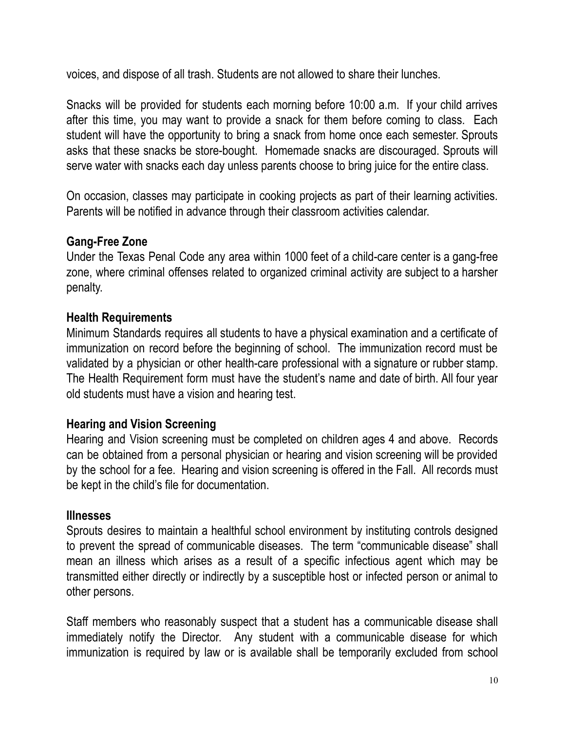voices, and dispose of all trash. Students are not allowed to share their lunches.

Snacks will be provided for students each morning before 10:00 a.m. If your child arrives after this time, you may want to provide a snack for them before coming to class. Each student will have the opportunity to bring a snack from home once each semester. Sprouts asks that these snacks be store-bought. Homemade snacks are discouraged. Sprouts will serve water with snacks each day unless parents choose to bring juice for the entire class.

On occasion, classes may participate in cooking projects as part of their learning activities. Parents will be notified in advance through their classroom activities calendar.

# **Gang-Free Zone**

Under the Texas Penal Code any area within 1000 feet of a child-care center is a gang-free zone, where criminal offenses related to organized criminal activity are subject to a harsher penalty.

# **Health Requirements**

Minimum Standards requires all students to have a physical examination and a certificate of immunization on record before the beginning of school. The immunization record must be validated by a physician or other health-care professional with a signature or rubber stamp. The Health Requirement form must have the student's name and date of birth. All four year old students must have a vision and hearing test.

# **Hearing and Vision Screening**

Hearing and Vision screening must be completed on children ages 4 and above. Records can be obtained from a personal physician or hearing and vision screening will be provided by the school for a fee. Hearing and vision screening is offered in the Fall. All records must be kept in the child's file for documentation.

# **Illnesses**

Sprouts desires to maintain a healthful school environment by instituting controls designed to prevent the spread of communicable diseases. The term "communicable disease" shall mean an illness which arises as a result of a specific infectious agent which may be transmitted either directly or indirectly by a susceptible host or infected person or animal to other persons.

Staff members who reasonably suspect that a student has a communicable disease shall immediately notify the Director. Any student with a communicable disease for which immunization is required by law or is available shall be temporarily excluded from school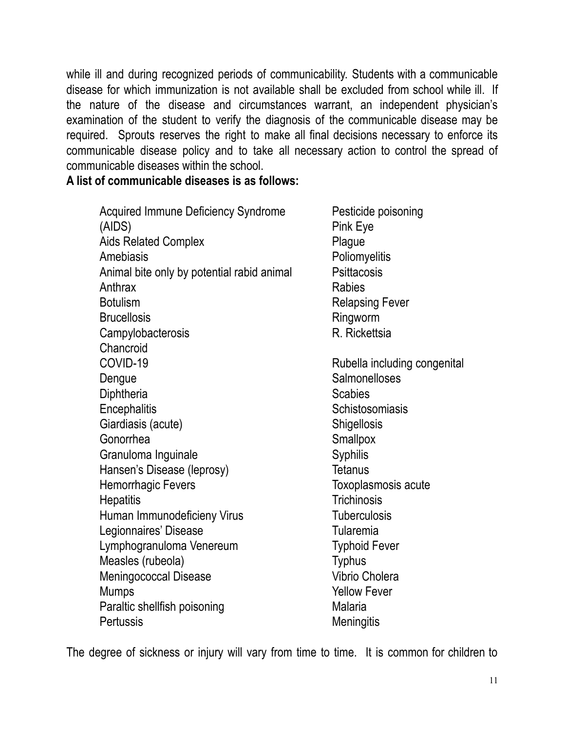while ill and during recognized periods of communicability. Students with a communicable disease for which immunization is not available shall be excluded from school while ill. If the nature of the disease and circumstances warrant, an independent physician's examination of the student to verify the diagnosis of the communicable disease may be required. Sprouts reserves the right to make all final decisions necessary to enforce its communicable disease policy and to take all necessary action to control the spread of communicable diseases within the school.

**A list of communicable diseases is as follows:**

Acquired Immune Deficiency Syndrome Pesticide poisoning (AIDS) Pink Eye Aids Related Complex **Plague** Amebiasis **Poliomyelitis** Animal bite only by potential rabid animal Psittacosis Anthrax **Rabies** Botulism **Relapsing Fever** Brucellosis **Ringworm** Ringworm Campylobacterosis R. Rickettsia Chancroid COVID-19 Rubella including congenital Dengue Salmonelloses Diphtheria Scabies **Scabies** Encephalitis Schistosomiasis Giardiasis (acute) Shigellosis Gonorrhea Smallpox Granuloma Inquinale Syphilis Hansen's Disease (leprosy) Tetanus Hemorrhagic Fevers Toxoplasmosis acute Hepatitis Trichinosis Human Immunodeficieny Virus Tuberculosis Legionnaires' Disease **Tularemia** Lymphogranuloma Venereum Typhoid Fever Measles (rubeola) Typhus Meningococcal Disease Vibrio Cholera Mumps **Mumps Yellow Fever** Paraltic shellfish poisoning Malaria Pertussis Meningitis

The degree of sickness or injury will vary from time to time. It is common for children to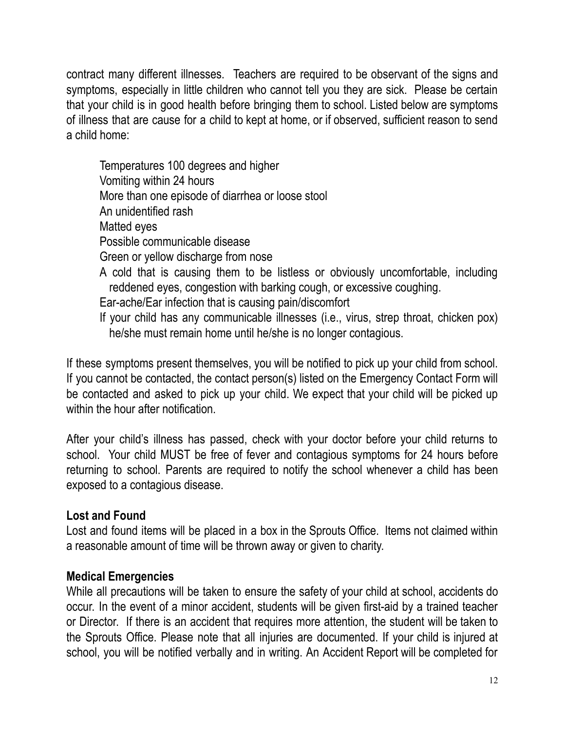contract many different illnesses. Teachers are required to be observant of the signs and symptoms, especially in little children who cannot tell you they are sick. Please be certain that your child is in good health before bringing them to school. Listed below are symptoms of illness that are cause for a child to kept at home, or if observed, sufficient reason to send a child home:

Temperatures 100 degrees and higher Vomiting within 24 hours More than one episode of diarrhea or loose stool An unidentified rash Matted eyes Possible communicable disease Green or yellow discharge from nose A cold that is causing them to be listless or obviously uncomfortable, including reddened eyes, congestion with barking cough, or excessive coughing. Ear-ache/Ear infection that is causing pain/discomfort If your child has any communicable illnesses (i.e., virus, strep throat, chicken pox) he/she must remain home until he/she is no longer contagious.

If these symptoms present themselves, you will be notified to pick up your child from school. If you cannot be contacted, the contact person(s) listed on the Emergency Contact Form will be contacted and asked to pick up your child. We expect that your child will be picked up within the hour after notification.

After your child's illness has passed, check with your doctor before your child returns to school. Your child MUST be free of fever and contagious symptoms for 24 hours before returning to school. Parents are required to notify the school whenever a child has been exposed to a contagious disease.

# **Lost and Found**

Lost and found items will be placed in a box in the Sprouts Office. Items not claimed within a reasonable amount of time will be thrown away or given to charity.

# **Medical Emergencies**

While all precautions will be taken to ensure the safety of your child at school, accidents do occur. In the event of a minor accident, students will be given first-aid by a trained teacher or Director. If there is an accident that requires more attention, the student will be taken to the Sprouts Office. Please note that all injuries are documented. If your child is injured at school, you will be notified verbally and in writing. An Accident Report will be completed for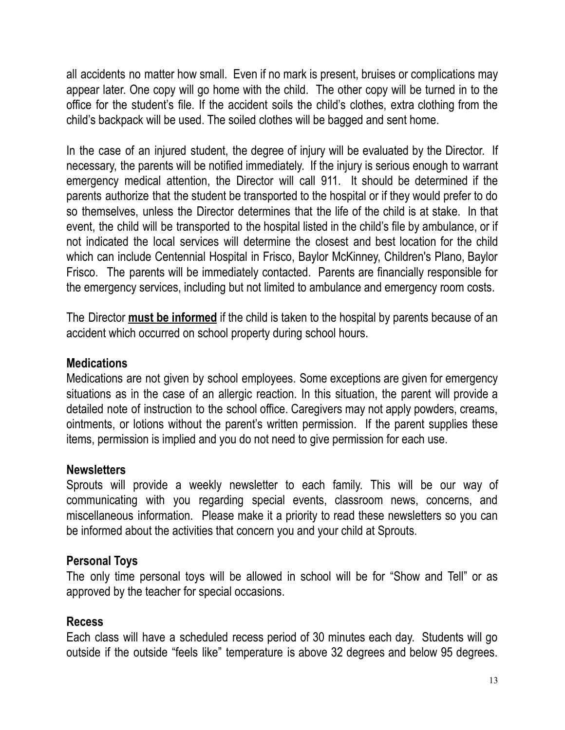all accidents no matter how small. Even if no mark is present, bruises or complications may appear later. One copy will go home with the child. The other copy will be turned in to the office for the student's file. If the accident soils the child's clothes, extra clothing from the child's backpack will be used. The soiled clothes will be bagged and sent home.

In the case of an injured student, the degree of injury will be evaluated by the Director. If necessary, the parents will be notified immediately. If the injury is serious enough to warrant emergency medical attention, the Director will call 911. It should be determined if the parents authorize that the student be transported to the hospital or if they would prefer to do so themselves, unless the Director determines that the life of the child is at stake. In that event, the child will be transported to the hospital listed in the child's file by ambulance, or if not indicated the local services will determine the closest and best location for the child which can include Centennial Hospital in Frisco, Baylor McKinney, Children's Plano, Baylor Frisco. The parents will be immediately contacted. Parents are financially responsible for the emergency services, including but not limited to ambulance and emergency room costs.

The Director **must be informed** if the child is taken to the hospital by parents because of an accident which occurred on school property during school hours.

#### **Medications**

Medications are not given by school employees. Some exceptions are given for emergency situations as in the case of an allergic reaction. In this situation, the parent will provide a detailed note of instruction to the school office. Caregivers may not apply powders, creams, ointments, or lotions without the parent's written permission. If the parent supplies these items, permission is implied and you do not need to give permission for each use.

#### **Newsletters**

Sprouts will provide a weekly newsletter to each family. This will be our way of communicating with you regarding special events, classroom news, concerns, and miscellaneous information. Please make it a priority to read these newsletters so you can be informed about the activities that concern you and your child at Sprouts.

# **Personal Toys**

The only time personal toys will be allowed in school will be for "Show and Tell" or as approved by the teacher for special occasions.

# **Recess**

Each class will have a scheduled recess period of 30 minutes each day. Students will go outside if the outside "feels like" temperature is above 32 degrees and below 95 degrees.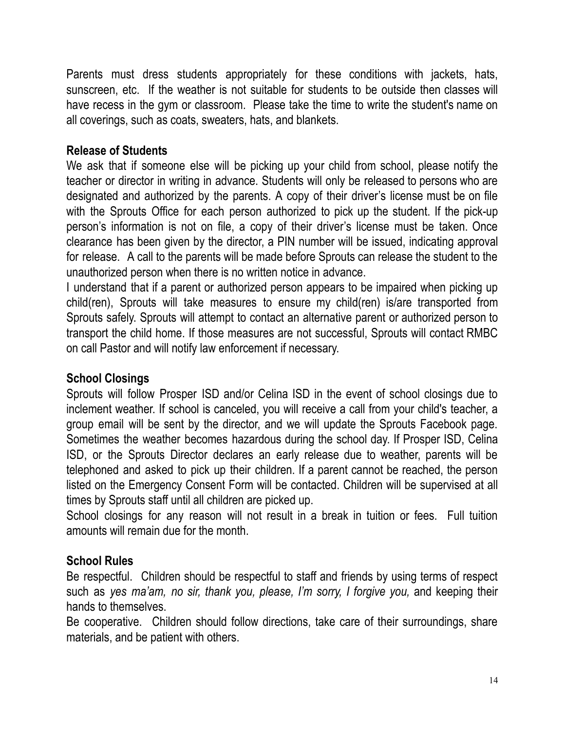Parents must dress students appropriately for these conditions with jackets, hats, sunscreen, etc. If the weather is not suitable for students to be outside then classes will have recess in the gym or classroom. Please take the time to write the student's name on all coverings, such as coats, sweaters, hats, and blankets.

# **Release of Students**

We ask that if someone else will be picking up your child from school, please notify the teacher or director in writing in advance. Students will only be released to persons who are designated and authorized by the parents. A copy of their driver's license must be on file with the Sprouts Office for each person authorized to pick up the student. If the pick-up person's information is not on file, a copy of their driver's license must be taken. Once clearance has been given by the director, a PIN number will be issued, indicating approval for release. A call to the parents will be made before Sprouts can release the student to the unauthorized person when there is no written notice in advance.

I understand that if a parent or authorized person appears to be impaired when picking up child(ren), Sprouts will take measures to ensure my child(ren) is/are transported from Sprouts safely. Sprouts will attempt to contact an alternative parent or authorized person to transport the child home. If those measures are not successful, Sprouts will contact RMBC on call Pastor and will notify law enforcement if necessary.

# **School Closings**

Sprouts will follow Prosper ISD and/or Celina ISD in the event of school closings due to inclement weather. If school is canceled, you will receive a call from your child's teacher, a group email will be sent by the director, and we will update the Sprouts Facebook page. Sometimes the weather becomes hazardous during the school day. If Prosper ISD, Celina ISD, or the Sprouts Director declares an early release due to weather, parents will be telephoned and asked to pick up their children. If a parent cannot be reached, the person listed on the Emergency Consent Form will be contacted. Children will be supervised at all times by Sprouts staff until all children are picked up.

School closings for any reason will not result in a break in tuition or fees. Full tuition amounts will remain due for the month.

# **School Rules**

Be respectful. Children should be respectful to staff and friends by using terms of respect such as *yes ma'am, no sir, thank you, please, I'm sorry, I forgive you,* and keeping their hands to themselves.

Be cooperative. Children should follow directions, take care of their surroundings, share materials, and be patient with others.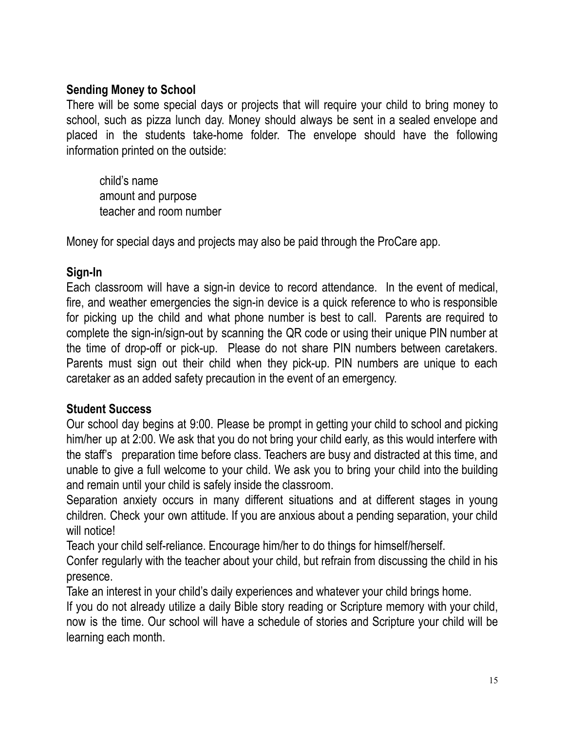# **Sending Money to School**

There will be some special days or projects that will require your child to bring money to school, such as pizza lunch day. Money should always be sent in a sealed envelope and placed in the students take-home folder. The envelope should have the following information printed on the outside:

child's name amount and purpose teacher and room number

Money for special days and projects may also be paid through the ProCare app.

# **Sign-In**

Each classroom will have a sign-in device to record attendance. In the event of medical, fire, and weather emergencies the sign-in device is a quick reference to who is responsible for picking up the child and what phone number is best to call. Parents are required to complete the sign-in/sign-out by scanning the QR code or using their unique PIN number at the time of drop-off or pick-up. Please do not share PIN numbers between caretakers. Parents must sign out their child when they pick-up. PIN numbers are unique to each caretaker as an added safety precaution in the event of an emergency.

# **Student Success**

Our school day begins at 9:00. Please be prompt in getting your child to school and picking him/her up at 2:00. We ask that you do not bring your child early, as this would interfere with the staff's preparation time before class. Teachers are busy and distracted at this time, and unable to give a full welcome to your child. We ask you to bring your child into the building and remain until your child is safely inside the classroom.

Separation anxiety occurs in many different situations and at different stages in young children. Check your own attitude. If you are anxious about a pending separation, your child will notice!

Teach your child self-reliance. Encourage him/her to do things for himself/herself.

Confer regularly with the teacher about your child, but refrain from discussing the child in his presence.

Take an interest in your child's daily experiences and whatever your child brings home.

If you do not already utilize a daily Bible story reading or Scripture memory with your child, now is the time. Our school will have a schedule of stories and Scripture your child will be learning each month.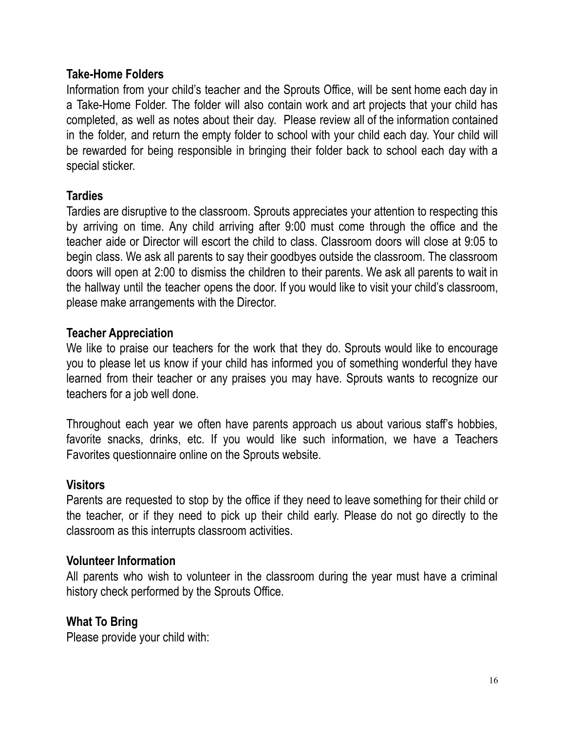#### **Take-Home Folders**

Information from your child's teacher and the Sprouts Office, will be sent home each day in a Take-Home Folder. The folder will also contain work and art projects that your child has completed, as well as notes about their day. Please review all of the information contained in the folder, and return the empty folder to school with your child each day. Your child will be rewarded for being responsible in bringing their folder back to school each day with a special sticker.

#### **Tardies**

Tardies are disruptive to the classroom. Sprouts appreciates your attention to respecting this by arriving on time. Any child arriving after 9:00 must come through the office and the teacher aide or Director will escort the child to class. Classroom doors will close at 9:05 to begin class. We ask all parents to say their goodbyes outside the classroom. The classroom doors will open at 2:00 to dismiss the children to their parents. We ask all parents to wait in the hallway until the teacher opens the door. If you would like to visit your child's classroom, please make arrangements with the Director.

#### **Teacher Appreciation**

We like to praise our teachers for the work that they do. Sprouts would like to encourage you to please let us know if your child has informed you of something wonderful they have learned from their teacher or any praises you may have. Sprouts wants to recognize our teachers for a job well done.

Throughout each year we often have parents approach us about various staff's hobbies, favorite snacks, drinks, etc. If you would like such information, we have a Teachers Favorites questionnaire online on the Sprouts website.

#### **Visitors**

Parents are requested to stop by the office if they need to leave something for their child or the teacher, or if they need to pick up their child early. Please do not go directly to the classroom as this interrupts classroom activities.

#### **Volunteer Information**

All parents who wish to volunteer in the classroom during the year must have a criminal history check performed by the Sprouts Office.

# **What To Bring**

Please provide your child with: